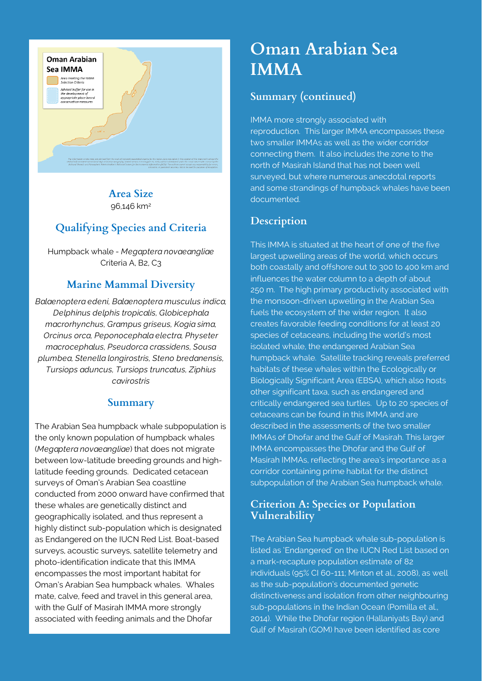

**Area Size** 96,146 km2

# **Qualifying Species and Criteria**

Humpback whale - *Megaptera novaeangliae* Criteria A, B2, C3

## **Marine Mammal Diversity**

*Balaenoptera edeni, Balaenoptera musculus indica, Delphinus delphis tropicalis, Globicephala macrorhynchus, Grampus griseus, Kogia sima, Orcinus orca, Peponocephala electra, Physeter macrocephalus, Pseudorca crassidens, Sousa plumbea, Stenella longirostris, Steno bredanensis, Tursiops aduncus, Tursiops truncatus, Ziphius cavirostris*

#### **Summary**

The Arabian Sea humpback whale subpopulation is the only known population of humpback whales (*Megaptera novaeangliae*) that does not migrate between low-latitude breeding grounds and highlatitude feeding grounds. Dedicated cetacean surveys of Oman's Arabian Sea coastline conducted from 2000 onward have confirmed that these whales are genetically distinct and geographically isolated, and thus represent a highly distinct sub-population which is designated as Endangered on the IUCN Red List. Boat-based surveys, acoustic surveys, satellite telemetry and photo-identification indicate that this IMMA encompasses the most important habitat for Oman's Arabian Sea humpback whales. Whales mate, calve, feed and travel in this general area, with the Gulf of Masirah IMMA more strongly associated with feeding animals and the Dhofar

# **Oman Arabian Sea IMMA**

#### **Summary (continued)**

IMMA more strongly associated with reproduction. This larger IMMA encompasses these two smaller IMMAs as well as the wider corridor connecting them. It also includes the zone to the north of Masirah Island that has not been well surveyed, but where numerous anecdotal reports and some strandings of humpback whales have been documented.

#### **Description**

This IMMA is situated at the heart of one of the five largest upwelling areas of the world, which occurs both coastally and offshore out to 300 to 400 km and influences the water column to a depth of about 250 m. The high primary productivity associated with the monsoon-driven upwelling in the Arabian Sea fuels the ecosystem of the wider region. It also creates favorable feeding conditions for at least 20 species of cetaceans, including the world's most isolated whale, the endangered Arabian Sea humpback whale. Satellite tracking reveals preferred habitats of these whales within the Ecologically or Biologically Significant Area (EBSA), which also hosts other significant taxa, such as endangered and critically endangered sea turtles. Up to 20 species of cetaceans can be found in this IMMA and are described in the assessments of the two smaller IMMAs of Dhofar and the Gulf of Masirah. This larger IMMA encompasses the Dhofar and the Gulf of Masirah IMMAs, reflecting the area's importance as a corridor containing prime habitat for the distinct subpopulation of the Arabian Sea humpback whale.

#### **Criterion A: Species or Population Vulnerability**

The Arabian Sea humpback whale sub-population is listed as 'Endangered' on the IUCN Red List based on a mark-recapture population estimate of 82 individuals (95% CI 60-111; Minton et al., 2008), as well as the sub-population's documented genetic distinctiveness and isolation from other neighbouring sub-populations in the Indian Ocean (Pomilla et al., 2014). While the Dhofar region (Hallaniyats Bay) and Gulf of Masirah (GOM) have been identified as core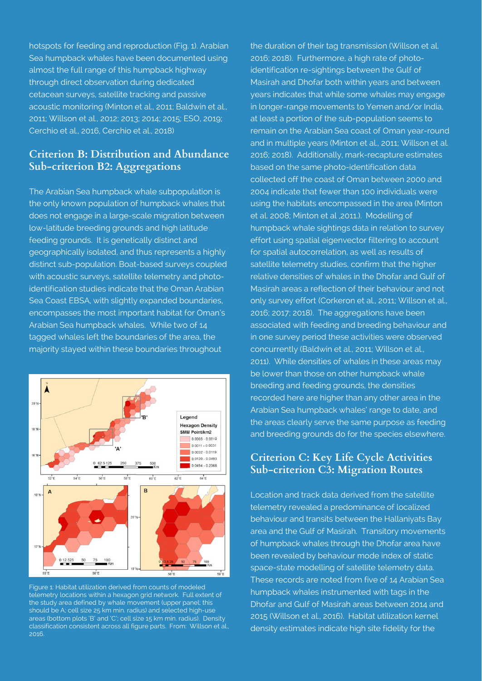hotspots for feeding and reproduction (Fig. 1). Arabian Sea humpback whales have been documented using almost the full range of this humpback highway through direct observation during dedicated cetacean surveys, satellite tracking and passive acoustic monitoring (Minton et al., 2011; Baldwin et al., 2011; Willson et al., 2012; 2013; 2014; 2015; ESO, 2019; Cerchio et al., 2016, Cerchio et al., 2018)

### **Criterion B: Distribution and Abundance Sub-criterion B2: Aggregations**

The Arabian Sea humpback whale subpopulation is the only known population of humpback whales that does not engage in a large-scale migration between low-latitude breeding grounds and high latitude feeding grounds. It is genetically distinct and geographically isolated, and thus represents a highly distinct sub-population. Boat-based surveys coupled with acoustic surveys, satellite telemetry and photoidentification studies indicate that the Oman Arabian Sea Coast EBSA, with slightly expanded boundaries, encompasses the most important habitat for Oman's Arabian Sea humpback whales. While two of 14 tagged whales left the boundaries of the area, the majority stayed within these boundaries throughout



Figure 1: Habitat utilization derived from counts of modeled telemetry locations within a hexagon grid network. Full extent of the study area defined by whale movement (upper panel; this should be A; cell size 25 km min. radius) and selected high-use areas (bottom plots 'B' and 'C'; cell size 15 km min. radius). Density classification consistent across all figure parts. From: Willson et al., 2016.

the duration of their tag transmission (Willson et al. 2016; 2018). Furthermore, a high rate of photoidentification re-sightings between the Gulf of Masirah and Dhofar both within years and between years indicates that while some whales may engage in longer-range movements to Yemen and/or India, at least a portion of the sub-population seems to remain on the Arabian Sea coast of Oman year-round and in multiple years (Minton et al., 2011; Willson et al. 2016; 2018). Additionally, mark-recapture estimates based on the same photo-identification data collected off the coast of Oman between 2000 and 2004 indicate that fewer than 100 individuals were using the habitats encompassed in the area (Minton et al. 2008; Minton et al ,2011.). Modelling of humpback whale sightings data in relation to survey effort using spatial eigenvector filtering to account for spatial autocorrelation, as well as results of satellite telemetry studies, confirm that the higher relative densities of whales in the Dhofar and Gulf of Masirah areas a reflection of their behaviour and not only survey effort (Corkeron et al., 2011; Willson et al., 2016; 2017; 2018). The aggregations have been associated with feeding and breeding behaviour and in one survey period these activities were observed concurrently (Baldwin et al., 2011; Willson et al., 2011). While densities of whales in these areas may be lower than those on other humpback whale breeding and feeding grounds, the densities recorded here are higher than any other area in the Arabian Sea humpback whales' range to date, and the areas clearly serve the same purpose as feeding and breeding grounds do for the species elsewhere.

## **Criterion C: Key Life Cycle Activities Sub-criterion C3: Migration Routes**

Location and track data derived from the satellite telemetry revealed a predominance of localized behaviour and transits between the Hallaniyats Bay area and the Gulf of Masirah. Transitory movements of humpback whales through the Dhofar area have been revealed by behaviour mode index of static space-state modelling of satellite telemetry data. These records are noted from five of 14 Arabian Sea humpback whales instrumented with tags in the Dhofar and Gulf of Masirah areas between 2014 and 2015 (Willson et al., 2016). Habitat utilization kernel density estimates indicate high site fidelity for the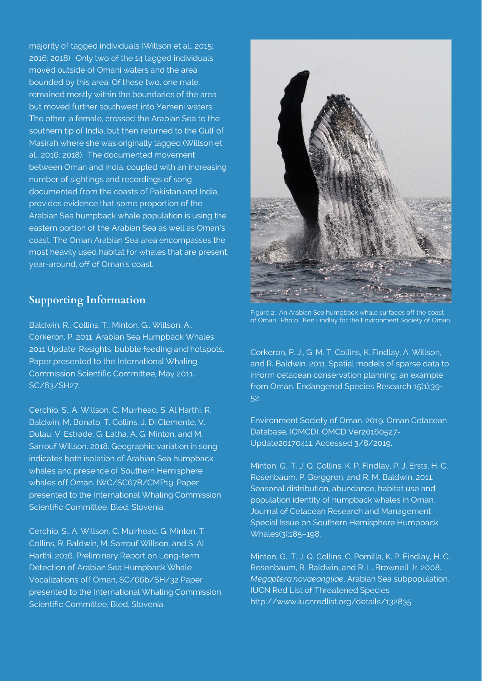majority of tagged individuals (Willson et al., 2015; 2016; 2018). Only two of the 14 tagged individuals moved outside of Omani waters and the area bounded by this area. Of these two, one male, remained mostly within the boundaries of the area but moved further southwest into Yemeni waters. The other, a female, crossed the Arabian Sea to the southern tip of India, but then returned to the Gulf of Masirah where she was originally tagged (Willson et al., 2016; 2018). The documented movement between Oman and India, coupled with an increasing number of sightings and recordings of song documented from the coasts of Pakistan and India, provides evidence that some proportion of the Arabian Sea humpback whale population is using the eastern portion of the Arabian Sea as well as Oman's coast. The Oman Arabian Sea area encompasses the most heavily used habitat for whales that are present, year-around, off of Oman's coast.

## **Supporting Information**

Baldwin, R., Collins, T., Minton, G., Willson, A., Corkeron, P. 2011. Arabian Sea Humpback Whales 2011 Update: Resights, bubble feeding and hotspots. Paper presented to the International Whaling Commission Scientific Committee, May 2011. SC/63/SH27.

Cerchio, S., A. Willson, C. Muirhead, S. Al Harthi, R. Baldwin, M. Bonato, T. Collins, J. Di Clemente, V. Dulau, V. Estrade, G. Latha, A. G. Minton, and M. Sarrouf Willson. 2018. Geographic variation in song indicates both isolation of Arabian Sea humpback whales and presence of Southern Hemisphere whales off Oman. IWC/SC67B/CMP19, Paper presented to the International Whaling Commission Scientific Committee, Bled, Slovenia.

Cerchio, S., A. Willson, C. Muirhead, G. Minton, T. Collins, R. Baldwin, M. Sarrouf Willson, and S. Al Harthi. 2016. Preliminary Report on Long-term Detection of Arabian Sea Humpback Whale Vocalizations off Oman, SC/66b/SH/32 Paper presented to the International Whaling Commission Scientific Committee, Bled, Slovenia.



Figure 2: An Arabian Sea humpback whale surfaces off the coast of Oman. Photo: Ken Findlay for the Environment Society of Oman.

Corkeron, P. J., G. M. T. Collins, K. Findlay, A. Willson, and R. Baldwin. 2011. Spatial models of sparse data to inform cetacean conservation planning: an example from Oman. Endangered Species Research 15(1):39- 52.

Environment Society of Oman. 2019. Oman Cetacean Database, (OMCD). OMCD Ver20160527- Update20170411. Accessed 3/8/2019.

Minton, G., T. J. Q. Collins, K. P. Findlay, P. J. Ersts, H. C. Rosenbaum, P. Berggren, and R. M. Baldwin. 2011. Seasonal distribution, abundance, habitat use and population identity of humpback whales in Oman. Journal of Cetacean Research and Management Special Issue on Southern Hemisphere Humpback Whales(3):185-198.

Minton, G., T. J. Q. Collins, C. Pomilla, K. P. Findlay, H. C. Rosenbaum, R. Baldwin, and R. L. Brownell Jr. 2008. *Megaptera novaeangliae*, Arabian Sea subpopulation. IUCN Red List of Threatened Species http://www.iucnredlist.org/details/132835